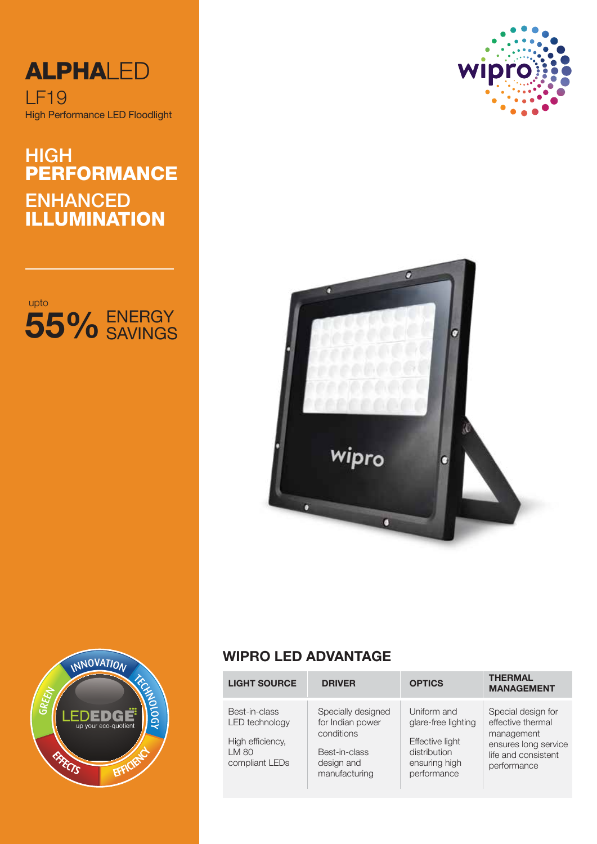

# HIGH ENHANCED ILLUMINATION PERFORMANCE









## **WIPRO LED ADVANTAGE**

| <b>LIGHT SOURCE</b>                                                            | <b>DRIVER</b>                                                                                        | <b>OPTICS</b>                                                                                         | <b>THERMAL</b><br><b>MANAGEMENT</b>                                                                                 |
|--------------------------------------------------------------------------------|------------------------------------------------------------------------------------------------------|-------------------------------------------------------------------------------------------------------|---------------------------------------------------------------------------------------------------------------------|
| Best-in-class<br>LED technology<br>High efficiency,<br>LM 80<br>compliant LEDs | Specially designed<br>for Indian power<br>conditions<br>Best-in-class<br>design and<br>manufacturing | Uniform and<br>glare-free lighting<br>Effective light<br>distribution<br>ensuring high<br>performance | Special design for<br>effective thermal<br>management<br>ensures long service<br>life and consistent<br>performance |